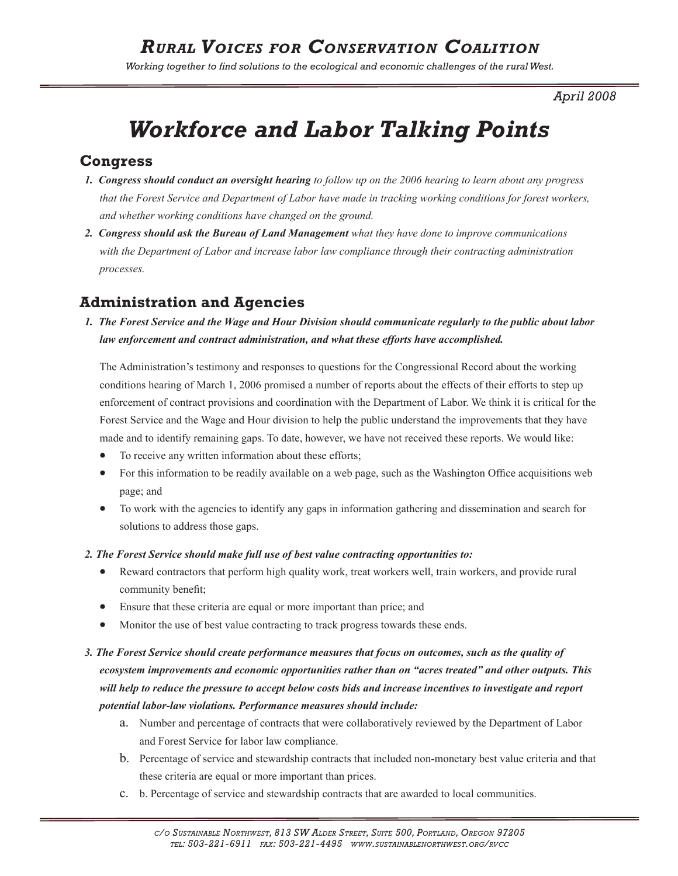*Working together to find solutions to the ecological and economic challenges of the rural West.* 

*April 2008*

# *Workforce and Labor Talking Points*

## **Congress**

- *1. Congress should conduct an oversight hearing to follow up on the 2006 hearing to learn about any progress that the Forest Service and Department of Labor have made in tracking working conditions for forest workers, and whether working conditions have changed on the ground.*
- *2. Congress should ask the Bureau of Land Management what they have done to improve communications with the Department of Labor and increase labor law compliance through their contracting administration processes.*

## **Administration and Agencies**

*1. The Forest Service and the Wage and Hour Division should communicate regularly to the public about labor law enforcement and contract administration, and what these efforts have accomplished.*

The Administration's testimony and responses to questions for the Congressional Record about the working conditions hearing of March 1, 2006 promised a number of reports about the effects of their efforts to step up enforcement of contract provisions and coordination with the Department of Labor. We think it is critical for the Forest Service and the Wage and Hour division to help the public understand the improvements that they have made and to identify remaining gaps. To date, however, we have not received these reports. We would like:

- To receive any written information about these efforts;
- For this information to be readily available on a web page, such as the Washington Office acquisitions web page; and
- To work with the agencies to identify any gaps in information gathering and dissemination and search for solutions to address those gaps.

#### *2. The Forest Service should make full use of best value contracting opportunities to:*

- Reward contractors that perform high quality work, treat workers well, train workers, and provide rural community benefit;
- Ensure that these criteria are equal or more important than price; and
- Monitor the use of best value contracting to track progress towards these ends.

## *3. The Forest Service should create performance measures that focus on outcomes, such as the quality of ecosystem improvements and economic opportunities rather than on "acres treated" and other outputs. This will help to reduce the pressure to accept below costs bids and increase incentives to investigate and report potential labor-law violations. Performance measures should include:*

- a. Number and percentage of contracts that were collaboratively reviewed by the Department of Labor and Forest Service for labor law compliance.
- b. Percentage of service and stewardship contracts that included non-monetary best value criteria and that these criteria are equal or more important than prices.
- c. b. Percentage of service and stewardship contracts that are awarded to local communities.